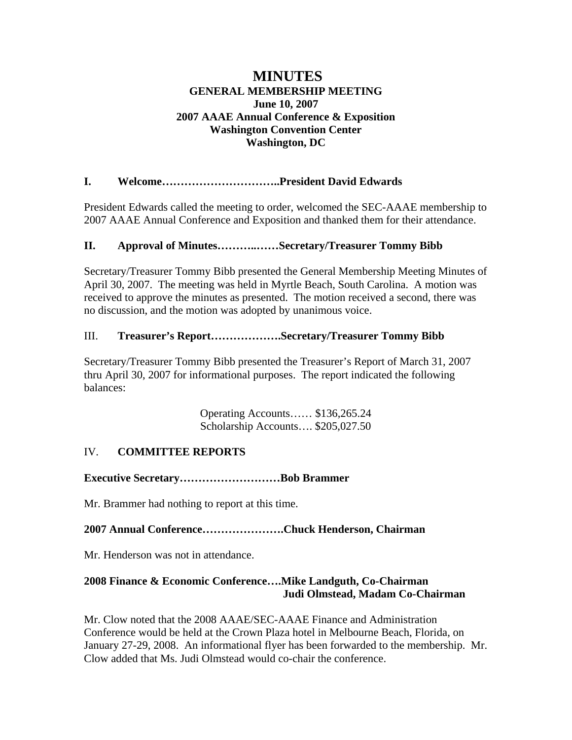# **MINUTES GENERAL MEMBERSHIP MEETING June 10, 2007 2007 AAAE Annual Conference & Exposition Washington Convention Center Washington, DC**

# **I. Welcome…………………………..President David Edwards**

President Edwards called the meeting to order, welcomed the SEC-AAAE membership to 2007 AAAE Annual Conference and Exposition and thanked them for their attendance.

# **II. Approval of Minutes………..……Secretary/Treasurer Tommy Bibb**

Secretary/Treasurer Tommy Bibb presented the General Membership Meeting Minutes of April 30, 2007. The meeting was held in Myrtle Beach, South Carolina. A motion was received to approve the minutes as presented. The motion received a second, there was no discussion, and the motion was adopted by unanimous voice.

# III. **Treasurer's Report……………….Secretary/Treasurer Tommy Bibb**

Secretary/Treasurer Tommy Bibb presented the Treasurer's Report of March 31, 2007 thru April 30, 2007 for informational purposes. The report indicated the following balances:

> Operating Accounts…… \$136,265.24 Scholarship Accounts…. \$205,027.50

# IV. **COMMITTEE REPORTS**

**Executive Secretary………………………Bob Brammer** 

Mr. Brammer had nothing to report at this time.

**2007 Annual Conference………………….Chuck Henderson, Chairman**

Mr. Henderson was not in attendance.

# **2008 Finance & Economic Conference….Mike Landguth, Co-Chairman Judi Olmstead, Madam Co-Chairman**

Mr. Clow noted that the 2008 AAAE/SEC-AAAE Finance and Administration Conference would be held at the Crown Plaza hotel in Melbourne Beach, Florida, on January 27-29, 2008. An informational flyer has been forwarded to the membership. Mr. Clow added that Ms. Judi Olmstead would co-chair the conference.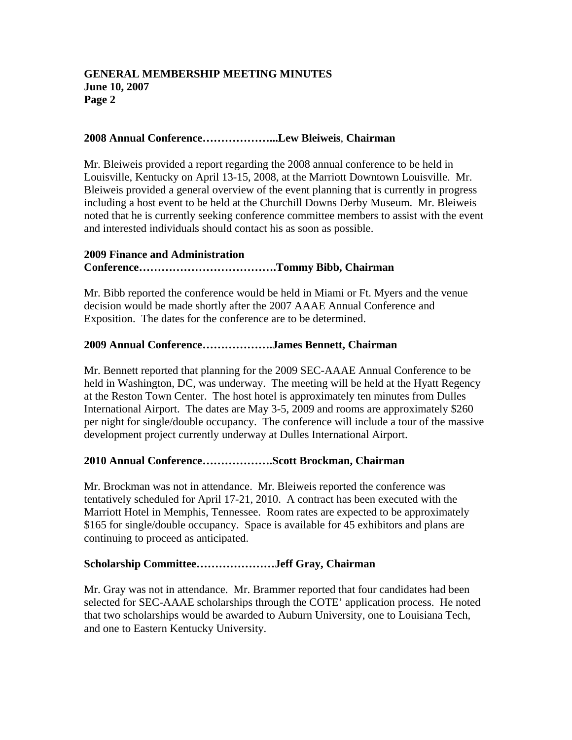### **GENERAL MEMBERSHIP MEETING MINUTES June 10, 2007 Page 2**

### **2008 Annual Conference………………...Lew Bleiweis**, **Chairman**

Mr. Bleiweis provided a report regarding the 2008 annual conference to be held in Louisville, Kentucky on April 13-15, 2008, at the Marriott Downtown Louisville. Mr. Bleiweis provided a general overview of the event planning that is currently in progress including a host event to be held at the Churchill Downs Derby Museum. Mr. Bleiweis noted that he is currently seeking conference committee members to assist with the event and interested individuals should contact his as soon as possible.

### **2009 Finance and Administration**

### **Conference……………………………….Tommy Bibb, Chairman**

Mr. Bibb reported the conference would be held in Miami or Ft. Myers and the venue decision would be made shortly after the 2007 AAAE Annual Conference and Exposition. The dates for the conference are to be determined.

#### **2009 Annual Conference……………….James Bennett, Chairman**

Mr. Bennett reported that planning for the 2009 SEC-AAAE Annual Conference to be held in Washington, DC, was underway. The meeting will be held at the Hyatt Regency at the Reston Town Center. The host hotel is approximately ten minutes from Dulles International Airport. The dates are May 3-5, 2009 and rooms are approximately \$260 per night for single/double occupancy. The conference will include a tour of the massive development project currently underway at Dulles International Airport.

### **2010 Annual Conference……………….Scott Brockman, Chairman**

Mr. Brockman was not in attendance. Mr. Bleiweis reported the conference was tentatively scheduled for April 17-21, 2010. A contract has been executed with the Marriott Hotel in Memphis, Tennessee. Room rates are expected to be approximately \$165 for single/double occupancy. Space is available for 45 exhibitors and plans are continuing to proceed as anticipated.

### **Scholarship Committee…………………Jeff Gray, Chairman**

Mr. Gray was not in attendance. Mr. Brammer reported that four candidates had been selected for SEC-AAAE scholarships through the COTE' application process. He noted that two scholarships would be awarded to Auburn University, one to Louisiana Tech, and one to Eastern Kentucky University.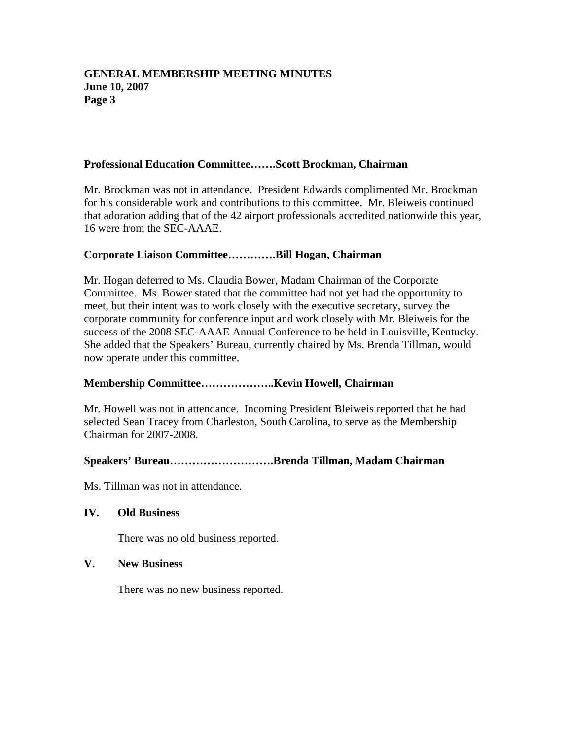### **GENERAL MEMBERSHIP MEETING MINUTES June 10, 2007 Page 3**

#### **Professional Education Committee…….Scott Brockman, Chairman**

Mr. Brockman was not in attendance. President Edwards complimented Mr. Brockman for his considerable work and contributions to this committee. Mr. Bleiweis continued that adoration adding that of the 42 airport professionals accredited nationwide this year, 16 were from the SEC-AAAE.

#### **Corporate Liaison Committee………….Bill Hogan, Chairman**

Mr. Hogan deferred to Ms. Claudia Bower, Madam Chairman of the Corporate Committee. Ms. Bower stated that the committee had not yet had the opportunity to meet, but their intent was to work closely with the executive secretary, survey the corporate community for conference input and work closely with Mr. Bleiweis for the success of the 2008 SEC-AAAE Annual Conference to be held in Louisville, Kentucky. She added that the Speakers' Bureau, currently chaired by Ms. Brenda Tillman, would now operate under this committee.

### **Membership Committee………………..Kevin Howell, Chairman**

Mr. Howell was not in attendance. Incoming President Bleiweis reported that he had selected Sean Tracey from Charleston, South Carolina, to serve as the Membership Chairman for 2007-2008.

### **Speakers' Bureau……………………….Brenda Tillman, Madam Chairman**

Ms. Tillman was not in attendance.

#### **IV. Old Business**

There was no old business reported.

#### **V. New Business**

There was no new business reported.